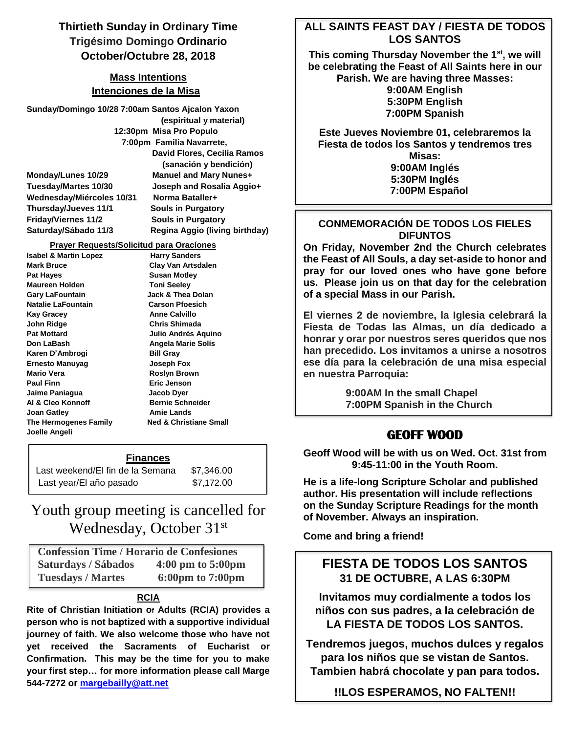# **Thirtieth Sunday in Ordinary Time Trigésimo Domingo Ordinario October/Octubre 28, 2018**

### **Mass Intentions Intenciones de la Misa**

**Sunday/Domingo 10/28 7:00am Santos Ajcalon Yaxon (espiritual y material) 12:30pm Misa Pro Populo 7:00pm Familia Navarrete, David Flores, Cecilia Ramos (sanación y bendición) Monday/Lunes 10/29 Manuel and Mary Nunes+ Tuesday/Martes 10/30 Joseph and Rosalia Aggio+ Wednesday/Miércoles 10/31 Norma Bataller+ Thursday/Jueves 11/1 Souls in Purgatory Friday/Viernes 11/2 Souls in Purgatory Saturday/Sábado 11/3 Regina Aggio (living birthday)**

#### **Prayer Requests/Solicitud para Oracíones**

**Isabel & Martin Lopez Harry Sanders Mark Bruce Clay Van Artsdalen** Pat Hayes **Susan Motley Maureen Holden Toni Seeley** Gary LaFountain **Jack & Thea Dolan Natalie LaFountain Carson Pfoesich** Kay Gracey **Anne Calvillo John Ridge Chris Shimada Pat Mottard Julio Andrés Aquino Don LaBash Angela Marie Solís** Karen D'Ambrogi Bill Gray **Ernesto Manuyag Joseph Fox Mario Vera Roslyn Brown** Paul Finn **Example 2018** Eric Jenson **Jaime Paniagua Jacob Dyer** Al & Cleo Konnoff Bernie Schneider **Joan Gatley**  Amie Lands **The Hermogenes Family Ned & Christiane Small Joelle Angeli**

#### **Finances**

| Last weekend/EI fin de la Semana | \$7,346.00 |  |
|----------------------------------|------------|--|
| Last year/El año pasado          | \$7,172.00 |  |

# Youth group meeting is cancelled for Wednesday, October 31st

 **Confession Time / Horario de Confesiones Saturdays / Sábados 4:00 pm to 5:00pm Tuesdays / Martes 6:00pm to 7:00pm**

### **RCIA**

**Rite of Christian Initiation o<sup>f</sup> Adults (RCIA) provides a person who is not baptized with a supportive individual journey of faith. We also welcome those who have not yet received the Sacraments of Eucharist or Confirmation. This may be the time for you to make your first step… for more information please call Marge 544-7272 or [margebailly@att.net](mailto:margebailly@att.net)**

### **ALL SAINTS FEAST DAY / FIESTA DE TODOS LOS SANTOS**

**This coming Thursday November the 1st , we will be celebrating the Feast of All Saints here in our Parish. We are having three Masses: 9:00AM English 5:30PM English**

**7:00PM Spanish**

**Este Jueves Noviembre 01, celebraremos la Fiesta de todos los Santos y tendremos tres Misas: 9:00AM Inglés 5:30PM Inglés 7:00PM Español**

### **CONMEMORACIÓN DE TODOS LOS FIELES DIFUNTOS**

**On Friday, November 2nd the Church celebrates the Feast of All Souls, a day set-aside to honor and pray for our loved ones who have gone before us. Please join us on that day for the celebration of a special Mass in our Parish.**

**El viernes 2 de noviembre, la Iglesia celebrará la Fiesta de Todas las Almas, un día dedicado a honrar y orar por nuestros seres queridos que nos han precedido. Los invitamos a unirse a nosotros ese día para la celebración de una misa especial en nuestra Parroquia:**

> **9:00AM In the small Chapel 7:00PM Spanish in the Church**

### **GEOFF WOOD**

**Geoff Wood will be with us on Wed. Oct. 31st from 9:45-11:00 in the Youth Room.**

**He is a life-long Scripture Scholar and published author. His presentation will include reflections on the Sunday Scripture Readings for the month of November. Always an inspiration.**

**Come and bring a friend!**

# **FIESTA DE TODOS LOS SANTOS 31 DE OCTUBRE, A LAS 6:30PM**

**Invitamos muy cordialmente a todos los niños con sus padres, a la celebración de LA FIESTA DE TODOS LOS SANTOS.**

**Tendremos juegos, muchos dulces y regalos para los niños que se vistan de Santos. Tambien habrá chocolate y pan para todos.**

**!!LOS ESPERAMOS, NO FALTEN!!**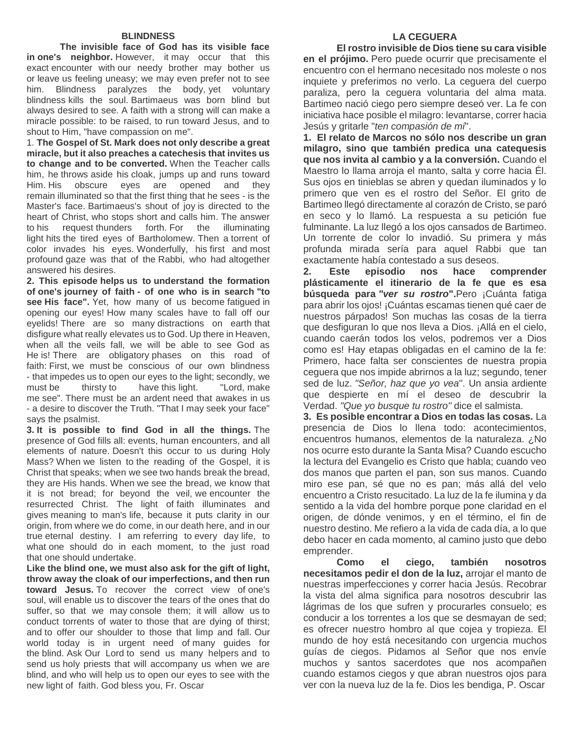**The invisible face of God has its visible face in one's neighbor.** However, it may occur that this exact encounter with our needy brother may bother us or leave us feeling uneasy; we may even prefer not to see him. Blindness paralyzes the body, yet voluntary blindness kills the soul. Bartimaeus was born blind but always desired to see. A faith with a strong will can make a miracle possible: to be raised, to run toward Jesus, and to shout to Him, "have compassion on me".

1. **The Gospel of St. Mark does not only describe a great miracle, but it also preaches a catechesis that invites us to change and to be converted.** When the Teacher calls him, he throws aside his cloak, jumps up and runs toward Him. His obscure eyes are opened and they remain illuminated so that the first thing that he sees - is the Master's face. Bartimaeus's shout of joy is directed to the heart of Christ, who stops short and calls him. The answer to his request thunders forth. For the illuminating light hits the tired eyes of Bartholomew. Then a torrent of color invades his eyes. Wonderfully, his first and most profound gaze was that of the Rabbi, who had altogether answered his desires.

**2. This episode helps us to understand the formation of one's journey of faith - of one who is in search "to see His face".** Yet, how many of us become fatigued in opening our eyes! How many scales have to fall off our eyelids! There are so many distractions on earth that disfigure what really elevates us to God. Up there in Heaven, when all the veils fall, we will be able to see God as He is! There are obligatory phases on this road of faith: First, we must be conscious of our own blindness - that impedes us to open our eyes to the light; secondly, we must be thirsty to have this light. "Lord, make me see". There must be an ardent need that awakes in us - a desire to discover the Truth. "That I may seek your face" says the psalmist.

**3. It is possible to find God in all the things.** The presence of God fills all: events, human encounters, and all elements of nature. Doesn't this occur to us during Holy Mass? When we listen to the reading of the Gospel, it is Christ that speaks; when we see two hands break the bread, they are His hands. When we see the bread, we know that it is not bread; for beyond the veil, we encounter the resurrected Christ. The light of faith illuminates and gives meaning to man's life, because it puts clarity in our origin, from where we do come, in our death here, and in our true eternal destiny. I am referring to every day life, to what one should do in each moment, to the just road that one should undertake.

**Like the blind one, we must also ask for the gift of light, throw away the cloak of our imperfections, and then run toward Jesus.** To recover the correct view of one's soul, will enable us to discover the tears of the ones that do suffer, so that we may console them; it will allow us to conduct torrents of water to those that are dying of thirst; and to offer our shoulder to those that limp and fall. Our world today is in urgent need of many guides for the blind. Ask Our Lord to send us many helpers and to send us holy priests that will accompany us when we are blind, and who will help us to open our eyes to see with the new light of faith. God bless you, Fr. Oscar

### **LA CEGUERA**

**El rostro invisible de Dios tiene su cara visible en el prójimo.** Pero puede ocurrir que precisamente el encuentro con el hermano necesitado nos moleste o nos inquiete y preferimos no verlo. La ceguera del cuerpo paraliza, pero la ceguera voluntaria del alma mata. Bartimeo nació ciego pero siempre deseó ver. La fe con iniciativa hace posible el milagro: levantarse, correr hacia Jesús y gritarle "*ten compasión de mí*".

**1. El relato de Marcos no sólo nos describe un gran milagro, sino que también predica una catequesis que nos invita al cambio y a la conversión.** Cuando el Maestro lo llama arroja el manto, salta y corre hacia Él. Sus ojos en tinieblas se abren y quedan iluminados y lo primero que ven es el rostro del Señor. El grito de Bartimeo llegó directamente al corazón de Cristo, se paró en seco y lo llamó. La respuesta a su petición fue fulminante. La luz llegó a los ojos cansados de Bartimeo. Un torrente de color lo invadió. Su primera y más profunda mirada sería para aquel Rabbi que tan exactamente había contestado a sus deseos.

**2. Este episodio nos hace comprender plásticamente el itinerario de la fe que es esa búsqueda para** *"ver su rostro***".**Pero ¡Cuánta fatiga para abrir los ojos! ¡Cuántas escamas tienen qué caer de nuestros párpados! Son muchas las cosas de la tierra que desfiguran lo que nos lleva a Dios. ¡Allá en el cielo, cuando caerán todos los velos, podremos ver a Dios como es! Hay etapas obligadas en el camino de la fe: Primero, hace falta ser conscientes de nuestra propia ceguera que nos impide abrirnos a la luz; segundo, tener sed de luz. *"Señor, haz que yo vea*". Un ansia ardiente que despierte en mí el deseo de descubrir la Verdad. *"Que yo busque tu rostro"* dice el salmista.

**3. Es posible encontrar a Dios en todas las cosas.** La presencia de Dios lo llena todo: acontecimientos, encuentros humanos, elementos de la naturaleza. ¿No nos ocurre esto durante la Santa Misa? Cuando escucho la lectura del Evangelio es Cristo que habla; cuando veo dos manos que parten el pan, son sus manos. Cuando miro ese pan, sé que no es pan; más allá del velo encuentro a Cristo resucitado. La luz de la fe ilumina y da sentido a la vida del hombre porque pone claridad en el origen, de dónde venimos, y en el término, el fin de nuestro destino. Me refiero a la vida de cada día, a lo que debo hacer en cada momento, al camino justo que debo emprender.

**Como el ciego, también nosotros necesitamos pedir el don de la luz,** arrojar el manto de nuestras imperfecciones y correr hacia Jesús. Recobrar la vista del alma significa para nosotros descubrir las lágrimas de los que sufren y procurarles consuelo; es conducir a los torrentes a los que se desmayan de sed; es ofrecer nuestro hombro al que cojea y tropieza. El mundo de hoy está necesitando con urgencia muchos guías de ciegos. Pidamos al Señor que nos envíe muchos y santos sacerdotes que nos acompañen cuando estamos ciegos y que abran nuestros ojos para ver con la nueva luz de la fe. Dios les bendiga, P. Oscar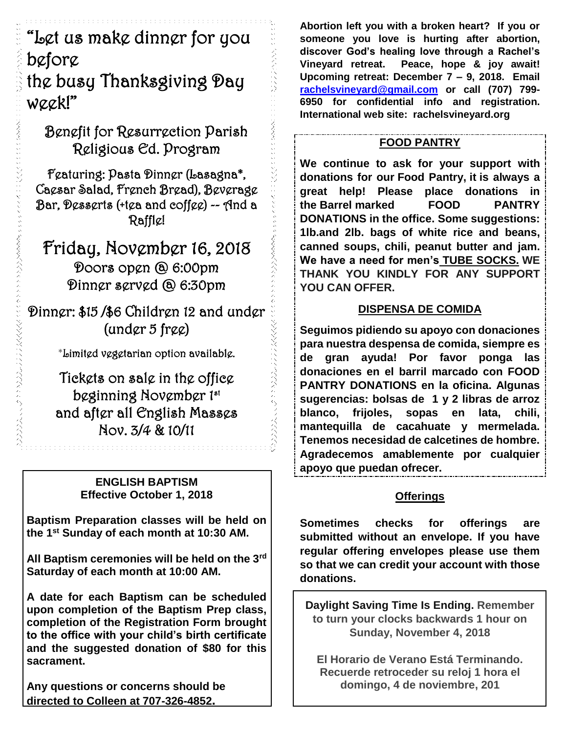"Let us make dinner for you before

# the busy Thanksgiving Day week!"

Benefit for Resurrection Parish Religious Ed. Program

Featuring: Pasta Dinner (Lasagna\*, Caesar Salad, French Bread), Beverage Bar, Desserts (+tea and coffee) -- And a Raffle!

Friday, November 16, 2018 Doors open @ 6:00pm Dinner served @ 6:30pm

Dinner: \$15 /\$6 Children 12 and under (under 5 free)

\*Limited vegetarian option available.

Tickets on sale in the office beginning November 1st and after all English Masses Nov. 3/4 & 10/11

### **ENGLISH BAPTISM Effective October 1, 2018**

n na h-Ann an t-Ann an t-Ann an t-Ann a

**Baptism Preparation classes will be held on the 1st Sunday of each month at 10:30 AM.** 

**All Baptism ceremonies will be held on the 3rd Saturday of each month at 10:00 AM.** 

**A date for each Baptism can be scheduled upon completion of the Baptism Prep class, completion of the Registration Form brought to the office with your child's birth certificate and the suggested donation of \$80 for this sacrament.** 

**Any questions or concerns should be directed to Colleen at 707-326-4852.**

**Abortion left you with a broken heart? If you or someone you love is hurting after abortion, discover God's healing love through a Rachel's Vineyard retreat. Peace, hope & joy await! Upcoming retreat: December 7 – 9, 2018. Email [rachelsvineyard@gmail.com](mailto:rachelsvineyard@gmail.com) or call (707) 799- 6950 for confidential info and registration. International web site: rachelsvineyard.org** 

# **FOOD PANTRY**

**We continue to ask for your support with donations for our Food Pantry, it is always a great help! Please place donations in the Barrel marked FOOD PANTRY DONATIONS in the office. Some suggestions: 1lb.and 2lb. bags of white rice and beans, canned soups, chili, peanut butter and jam. We have a need for men's TUBE SOCKS. WE THANK YOU KINDLY FOR ANY SUPPORT YOU CAN OFFER.**

# **DISPENSA DE COMIDA**

**Seguimos pidiendo su apoyo con donaciones para nuestra despensa de comida, siempre es de gran ayuda! Por favor ponga las donaciones en el barril marcado con FOOD PANTRY DONATIONS en la oficina. Algunas sugerencias: bolsas de 1 y 2 libras de arroz blanco, frijoles, sopas en lata, chili, mantequilla de cacahuate y mermelada. Tenemos necesidad de calcetines de hombre. Agradecemos amablemente por cualquier apoyo que puedan ofrecer.**

## **Offerings**

**Sometimes checks for offerings are submitted without an envelope. If you have regular offering envelopes please use them so that we can credit your account with those donations.** 

**Daylight Saving Time Is Ending. Remember to turn your clocks backwards 1 hour on Sunday, November 4, 2018**

**El Horario de Verano Está Terminando. Recuerde retroceder su reloj 1 hora el domingo, 4 de noviembre, 201**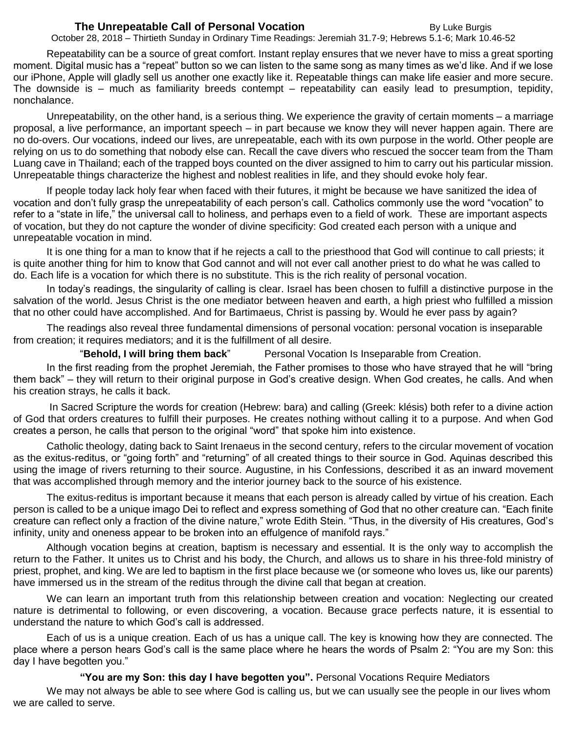### **The Unrepeatable Call of Personal Vocation By Luke Burgis** By Luke Burgis

October 28, 2018 – Thirtieth Sunday in Ordinary Time Readings: Jeremiah 31.7-9; Hebrews 5.1-6; Mark 10.46-52

Repeatability can be a source of great comfort. Instant replay ensures that we never have to miss a great sporting moment. Digital music has a "repeat" button so we can listen to the same song as many times as we'd like. And if we lose our iPhone, Apple will gladly sell us another one exactly like it. Repeatable things can make life easier and more secure. The downside is – much as familiarity breeds contempt – repeatability can easily lead to presumption, tepidity, nonchalance.

Unrepeatability, on the other hand, is a serious thing. We experience the gravity of certain moments – a marriage proposal, a live performance, an important speech – in part because we know they will never happen again. There are no do-overs. Our vocations, indeed our lives, are unrepeatable, each with its own purpose in the world. Other people are relying on us to do something that nobody else can. Recall the cave divers who rescued the soccer team from the Tham Luang cave in Thailand; each of the trapped boys counted on the diver assigned to him to carry out his particular mission. Unrepeatable things characterize the highest and noblest realities in life, and they should evoke holy fear.

If people today lack holy fear when faced with their futures, it might be because we have sanitized the idea of vocation and don't fully grasp the unrepeatability of each person's call. Catholics commonly use the word "vocation" to refer to a "state in life," the universal call to holiness, and perhaps even to a field of work. These are important aspects of vocation, but they do not capture the wonder of divine specificity: God created each person with a unique and unrepeatable vocation in mind.

It is one thing for a man to know that if he rejects a call to the priesthood that God will continue to call priests; it is quite another thing for him to know that God cannot and will not ever call another priest to do what he was called to do. Each life is a vocation for which there is no substitute. This is the rich reality of personal vocation.

In today's readings, the singularity of calling is clear. Israel has been chosen to fulfill a distinctive purpose in the salvation of the world. Jesus Christ is the one mediator between heaven and earth, a high priest who fulfilled a mission that no other could have accomplished. And for Bartimaeus, Christ is passing by. Would he ever pass by again?

The readings also reveal three fundamental dimensions of personal vocation: personal vocation is inseparable from creation; it requires mediators; and it is the fulfillment of all desire.

"**Behold, I will bring them back**" Personal Vocation Is Inseparable from Creation.

In the first reading from the prophet Jeremiah, the Father promises to those who have strayed that he will "bring them back" – they will return to their original purpose in God's creative design. When God creates, he calls. And when his creation strays, he calls it back.

In Sacred Scripture the words for creation (Hebrew: bara) and calling (Greek: klésis) both refer to a divine action of God that orders creatures to fulfill their purposes. He creates nothing without calling it to a purpose. And when God creates a person, he calls that person to the original "word" that spoke him into existence.

Catholic theology, dating back to Saint Irenaeus in the second century, refers to the circular movement of vocation as the exitus-reditus, or "going forth" and "returning" of all created things to their source in God. Aquinas described this using the image of rivers returning to their source. Augustine, in his Confessions, described it as an inward movement that was accomplished through memory and the interior journey back to the source of his existence.

The exitus-reditus is important because it means that each person is already called by virtue of his creation. Each person is called to be a unique imago Dei to reflect and express something of God that no other creature can. "Each finite creature can reflect only a fraction of the divine nature," wrote Edith Stein. "Thus, in the diversity of His creatures, God's infinity, unity and oneness appear to be broken into an effulgence of manifold rays."

Although vocation begins at creation, baptism is necessary and essential. It is the only way to accomplish the return to the Father. It unites us to Christ and his body, the Church, and allows us to share in his three-fold ministry of priest, prophet, and king. We are led to baptism in the first place because we (or someone who loves us, like our parents) have immersed us in the stream of the reditus through the divine call that began at creation.

We can learn an important truth from this relationship between creation and vocation: Neglecting our created nature is detrimental to following, or even discovering, a vocation. Because grace perfects nature, it is essential to understand the nature to which God's call is addressed.

Each of us is a unique creation. Each of us has a unique call. The key is knowing how they are connected. The place where a person hears God's call is the same place where he hears the words of Psalm 2: "You are my Son: this day I have begotten you."

**"You are my Son: this day I have begotten you".** Personal Vocations Require Mediators

We may not always be able to see where God is calling us, but we can usually see the people in our lives whom we are called to serve.